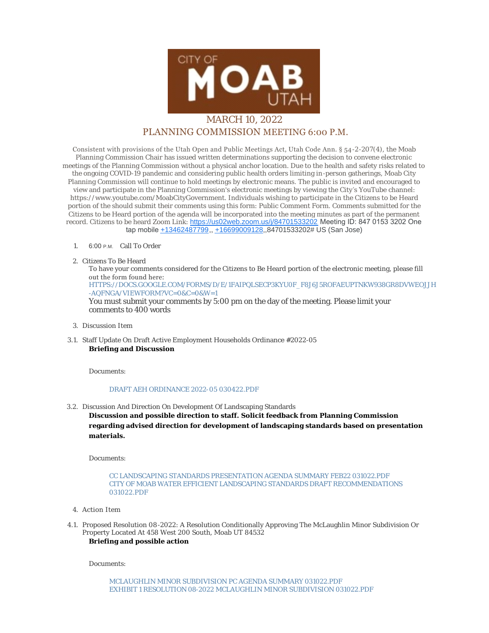

## PLANNING COMMISSION MEETING 6:00 P.M.

Consistent with provisions of the Utah Open and Public Meetings Act, Utah Code Ann. § 54-2-207(4), the Moab Planning Commission Chair has issued written determinations supporting the decision to convene electronic meetings of the Planning Commission without a physical anchor location. Due to the health and safety risks related to the ongoing COVID-19 pandemic and considering public health orders limiting in-person gatherings, Moab City Planning Commission will continue to hold meetings by electronic means. The public is invited and encouraged to view and participate in the Planning Commission's electronic meetings by viewing the City's YouTube channel: https://www.youtube.com/MoabCityGovernment. Individuals wishing to participate in the Citizens to be Heard portion of the should submit their comments using this form: Public Comment Form. Comments submitted for the Citizens to be Heard portion of the agenda will be incorporated into the meeting minutes as part of the permanent record. Citizens to be heard Zoom Link: <https://us02web.zoom.us/j/84701533202> Meeting ID: 847 0153 3202 One tap mobile [+13462487799](tel:+13462487799),, [+16699009128,](tel:+16699009128),84701533202# US (San Jose)

## 1. 6:00 P.M. Call To Order

2. Citizens To Be Heard

To have your comments considered for the Citizens to Be Heard portion of the electronic meeting, please fill out the form found here:

[HTTPS://DOCS.GOOGLE.COM/FORMS/D/E/1FAIPQLSECP3KYU0F\\_F8J6J5ROFAEUPTNKW938GR8DVWEOJJH](https://docs.google.com/forms/d/e/1FAIpQLSecp3kyu0F_f8J6J5ROfaeUPtNkW938GR8dvweOJjH-aQfNgA/viewform?vc=0&c=0&w=1) -AQFNGA/VIEWFORM?VC=0&C=0&W=1

You must submit your comments by 5:00 pm on the day of the meeting. Please limit your comments to 400 words

- Discussion Item 3.
- Staff Update On Draft Active Employment Households Ordinance #2022-05 3.1. **Briefing and Discussion**

Documents:

## [DRAFT AEH ORDINANCE 2022-05 030422.PDF](https://moabcity.org/AgendaCenter/ViewFile/Item/4719?fileID=5698)

3.2. Discussion And Direction On Development Of Landscaping Standards

**Discussion and possible direction to staff. Solicit feedback from Planning Commission regarding advised direction for development of landscaping standards based on presentation materials.**

Documents:

[CC LANDSCAPING STANDARDS PRESENTATION AGENDA SUMMARY FEB22 031022.PDF](https://moabcity.org/AgendaCenter/ViewFile/Item/4718?fileID=5697) [CITY OF MOAB WATER EFFICIENT LANDSCAPING STANDARDS DRAFT R](https://moabcity.org/AgendaCenter/ViewFile/Item/4718?fileID=5696)ECOMMENDATIONS 031022.PDF

- Action Item 4.
- 4.1. Proposed Resolution 08-2022: A Resolution Conditionally Approving The McLaughlin Minor Subdivision Or Property Located At 458 West 200 South, Moab UT 84532

**Briefing and possible action**

Documents: